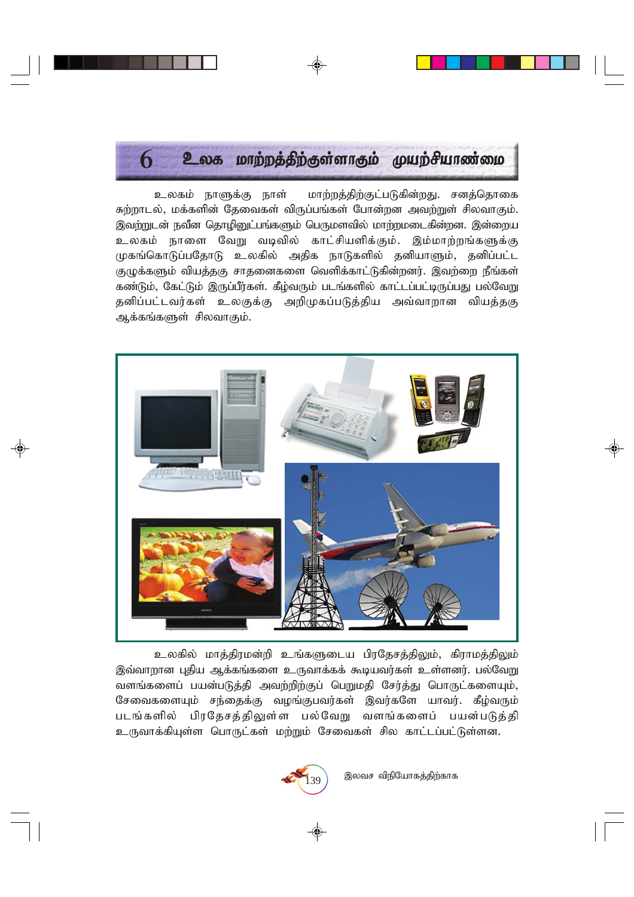# $6$  – உலக மாற்றத்திற்குள்ளாகும் முயற்சியாண்மை

உலகம் நாளுக்கு நாள் மாற்றத்திற்குட்படுகின்றது. சனத்தொகை சுற்றாடல், மக்களின் தேவைகள் விருப்பங்கள் போன்றன அவற்றுள் சிலவாகும். இவற்றுடன் நவீன தொழினுட்பங்களும் பெருமளவில் மாற்றமடைகின்றன. இன்றைய *cyfk; ehis NtW tbtpy; fhl;rpaspf;Fk;. ,k;khw;wq;fSf;F* முகங்கொடுப்பதோடு உலகில் அதிக நாடுகளில் தனியாளும், தனிப்பட்ட குழுக்களும் வியத்தகு சாதனைகளை வெளிக்காட்டுகின்றனர். இவற்றை நீங்கள் ்கண்டும். கேட்டும் இருப்பீர்கள். கீம்வரும் படங்களில் காட்டப்பட்டிருப்பது பல்வேறு ்தனிப்பட்டவர்கள் உலகுக்கு அறிமுகப்படுத்திய அவ்வாறான வியத்தகு ஆக்கங்களுள் சிலவாகும்.



உலகில் மாத்திரமன்றி உங்களுடைய பிரதேசத்திலும், கிராமத்திலும் இவ்வாறான புதிய ஆக்கங்களை உருவாக்கக் கூடியவர்கள் உள்ளனர். பல்வேறு வளங்களைப் பயன்படுத்தி அவற்றிற்குப் பெறுமதி சேர்த்து பொருட்களையும், சேவைகளையும் சந்தைக்கு வழங்குபவர்கள் இவர்களே யாவர். கீழ்வரும் *glq;fspy; gpuNjrj;jpYs;s gy;NtW tsq;fisg; gad;gLj;jp* உருவாக்கியுள்ள பொருட்கள் மற்றும் சேவைகள் சில காட்டப்பட்டுள்ளன.

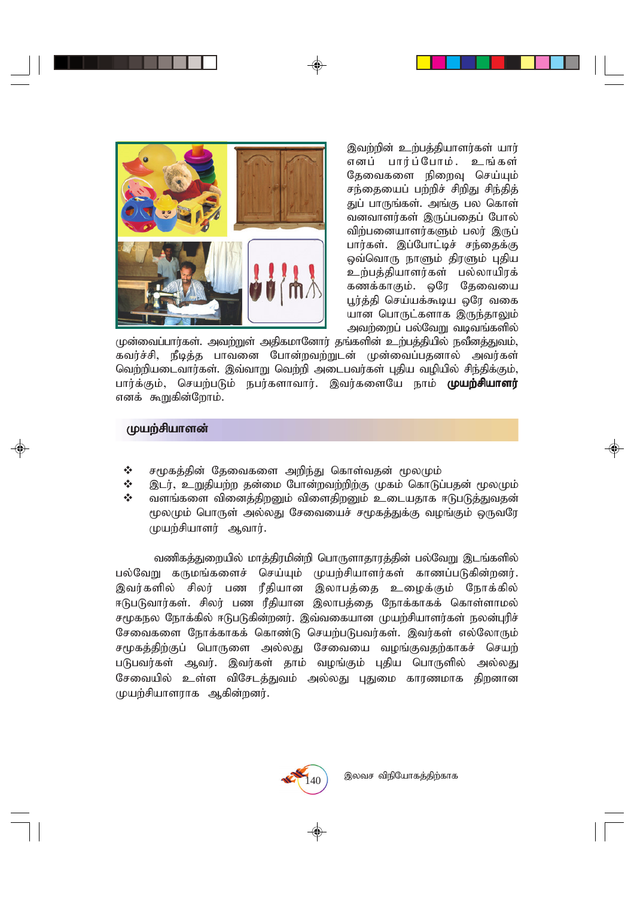இவற்றின் உற்பத்தியாளர்கள் யார் எனப் பார்ப்போம். உங்கள் தேவைகளை நிறைவு செய்யும் *re;ijiag; gw;wpr; rpwpJ rpe;jpj;* துப் பாருங்கள். அங்கு பல கொள் வனவாளர்கள் இருப்பதைப் போல் விற்பனையாளர்களும் பலர் இருப் பார்கள். இப்போட்டிச் சந்தைக்கு  $\boldsymbol{\mathrm{\mathfrak{g}}}$ வ்வொரு நாளும் திரளும் புதிய உற்பத்தியாளர்கள் பல்லாயிரக் கணக்காகும். ஒரே தேவையை பூர்த்தி செய்யக்கூடிய ஒரே வகை யான பொருட்களாக இருந்தாலும் *mtw;iwg; gy;NtW tbtq;fspy;*

முன்வைப்பார்கள். அவற்றுள் அதிகமானோர் தங்களின் உற்பத்தியில் நவீனத்துவம், ்கவர்ச்சி, நீடித்த பாவனை போன்றவற்றுடன் முன்வைப்பதனால் அவர்கள் வெற்றியடைவார்கள். இவ்வாறு வெற்றி அடைபவர்கள் புதிய வழியில் சிந்திக்கும், பார்க்கும், செயற்படும் நபர்களாவார். இவர்களையே நாம் **முயற்சியாளர்** எனக் கூறுகின்றோம்.

# *Kaw;rpahsd; Kaw;rpahsd;*

- $\Leftrightarrow$  சமூகத்தின் தேவைகளை அறிந்து கொள்வதன் மூலமும்
- **்** இடர், உறுதியற்ற தன்மை போன்றவற்றிற்கு முகம் கொடுப்பதன் மூலமும்<br>� வளங்களை வினைக்கிறனம் விளைகிறனம் ഉ. பை யகாக சுடிபடுக்குவுகள்
- வளங்களை வினைத்திறனும் விளைதிறனும் உடையதாக ஈடுபடுத்துவதன் மூலமும் பொருள் அல்லது சேவையைச் சமுகத்துக்கு வழங்கும் ஒருவரே *Kaw;rpahsu; Mthu;.*

வணிகத்துறையில் மாத்திரமின்றி பொருளாதாரத்தின் பல்வேறு இடங்களில் பல்வேறு கருமங்களைச் செய்யும் முயற்சியாளர்கள் காணப்படுகின்றனர். இவர்களில் சிலர் பண ரீதியான இலாபத்தை உழைக்கும் நோக்கில் ஈடுபடுவார்கள். சிலர் பண ரீதியான இலாபத்தை நோக்காகக் கொள்ளாமல் சமூகநல நோக்கில் ஈடுபடுகின்றனர். இவ்வகையான முயற்சியாளர்கள் நலன்புரிச் சேவைகளை நோக்காகக் கொண்டு செயற்படுபவர்கள். இவர்கள் எல்லோரும் *r%fj;jpw;Fg; nghUis my;yJ Nritia toq;Ftjw;fhfr; nraw;* படுபவர்கள் ஆவர். இவர்கள் தாம் வழங்கும் புதிய பொருளில் அல்லது சேவையில் உள்ள விசேடத்துவம் அல்லது புதுமை காரணமாக திறனான *Kaw;rpahsuhf Mfpd;wdu;.*

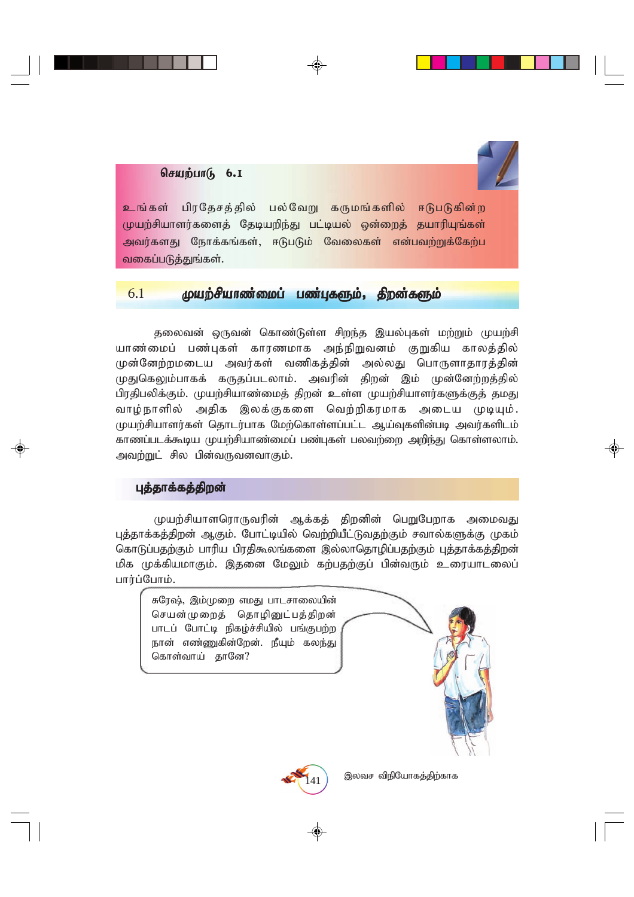# $\theta$ சியற்பா $\theta$  6.1

<mark>உங்கள் பிரதேசத்தில் பல்வேறு கருமங்களில் ஈடுபடுகின்ற</mark> முயற்சியாளர்களைத் தேடியறிந்து பட்டியல் ஒன்றைத் தயாரியுங்கள் <mark>அவர்களது நோக்கங்கள், ஈடுபடும் வேலைகள் என்பவற்றுக்கேற்ப</mark> வகைப்படுத்துங்கள்.

# $6.1$  முயற்சியாண்மைப் பண்புகளும், திறன்களும்

தலைவன் ஒருவன் கொண்டுள்ள சிறந்த இயல்புகள் மற்றும் முயற்சி யாண்மைப் பண்புகள் காரணமாக அந்நிறுவனம் குறுகிய காலத்தில் முன்னேற்றமடைய அவர்கள் வணிகத்தின் அல்லது பொருளாதாரத்தின் முதுகெலும்பாகக் கருதப்படலாம். அவரின் திறன் இம் முன்னேற்றத்தில் பிரதிபலிக்கும். முயற்சியாண்மைத் திறன் உள்ள முயற்சியாளர்களுக்குத் தமது வாழ்நாளில் அதிக இலக்குகளை வெற்றிகரமாக அடைய முடியும். *Kaw;rpahsu;fs; njhlu;ghf Nkw;nfhs;sg;gl;l Ma;Tfspd;gb mtu;fsplk; fhzg;glf;\$ba Kaw;rpahz;ikg; gz;Gfs; gytw;iw mwpe;J nfhs;syhk;.* அவற்றுட் சில பின்வருவனவாகும்.

#### புத்தாக்கத்திறன்

முயற்சியாளரொருவரின் ஆக்கத் திறனின் பெறுபேறாக அமைவது*,* புத்தாக்கத்திறன் ஆகும். போட்டியில் வெற்றியீட்டுவதற்கும் சவால்களுக்கு முகம் கொடுப்பதற்கும் பாரிய பிரதிகூலங்களை இல்லாதொழிப்பதற்கும் புத்தாக்கத்திறன் மிக முக்கியமாகும். இதனை மேலும் கற்பதற்குப் பின்வரும் உரையாடலைப் பார்ப்போம்.

சுரேஷ், இம்முறை எமது பாடசாலையின் செயன்முறைத் தொழினுட்பத்திறன் பாடப் போட்டி நிகழ்ச்சியில் பங்குபற்ற நான் எண்ணுகின்றேன். நீயும் கலந்து கொள்வாய் தானே?



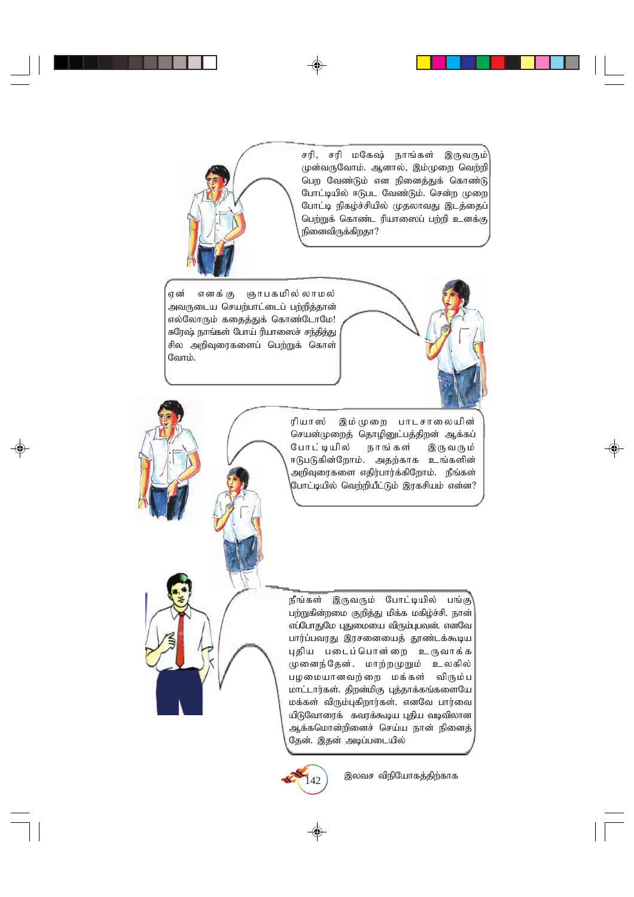

சரி, சரி மகேஷ் நாங்கள் இருவரும்<sup>1</sup> முன்வருவோம். ஆனால், இம்முறை வெற்றி *ngw Ntz;Lk; vd epidj;Jf; nfhz;L* போட்டியில் ஈடுபட வேண்டும். சென்ற முறை போட்டி நிகழ்ச்சியில் முதலாவது இடத்தைப் *ngw;Wf; nfhz;l upahi]g; gw;wp cdf;F* நினைவிருக்கிறதா?

,<br>ஏன் எனக்கு ஞாபகமில்லாமல் அவருடைய செயற்பாட்டைப் பற்றித்தான் எல்லோரும் கதைத்துக் கொண்டோமே! சுரேஷ் நாங்கள் போய் ரியாஸைச் சந்தித்து சில அறிவுரைகளைப் பெற்றுக் கொள் **வோம்.** 



ரியாஸ் இம்முறை பாடசாலையின் செயன்முறைத் தொழினுட்பத்திறன் ஆக்கப் போட்டியில் நாங்கள் இருவரும் ஈடுபடுகின்றோம். அதற்காக உங்களின் .<br>அறிவுரைகளை எதிர்பார்க்கிறோம். நீங்கள் .<br>போட்டியில் வெற்றியீட்டும் இரகசியம் என்ன?

நீங்கள் இருவரும் போட்டியில் பங்கு<sup>)</sup> பற்றுகின்றமை குறித்து மிக்க மகிழ்ச்சி. நான் எப்போதுமே புதுமையை விரும்புபவன். எனவே பார்ப்பவரது இரசனையைத் தூண்டக்கூடிய புதிய படைப்பொன்றை உருவாக்க முனைந்தேன். மாற்றமுறும் உலகில் பழமையானவற்றை மக்கள் விரும்**ப மாட்டார்கள். திறன்மிகு புத்தாக்கங்களையே மக்கள் விரும்புகிறார்கள். எனவே பார்வை** யிடுவோரைக் கவரக்கூடிய புதிய வடிவிலான ஆக்கமொன்றினைச் செய்ய நான் நினைத்<sup>;</sup> தேன். இதன் அடிப்படையில்

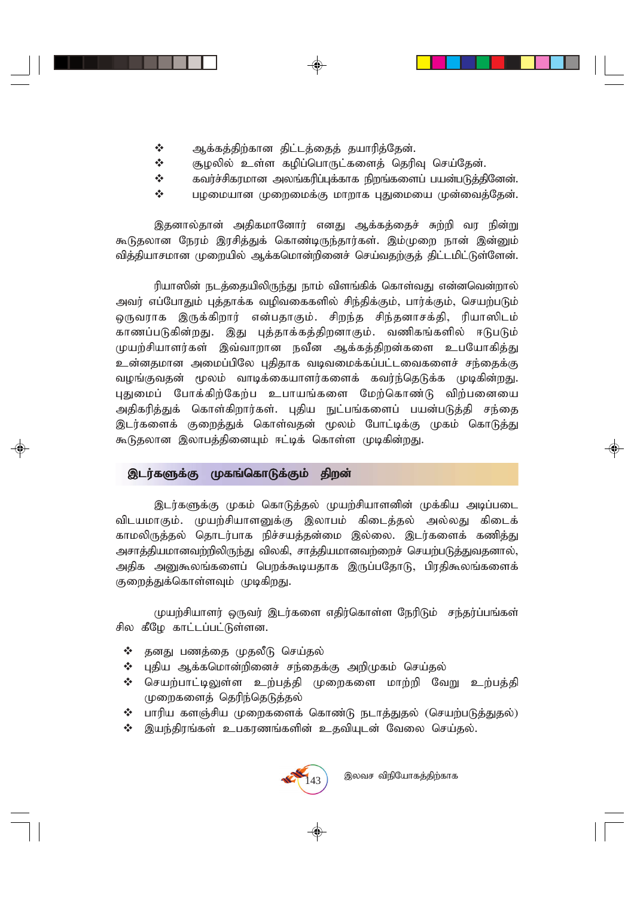- $\mathbf{\hat{P}}$  ஆக்கத்திற்கான திட்டத்தைத் தயாரித்தேன்.
- $\boldsymbol{\dot{\cdot}}$  சூழலில் உள்ள கழிப்பொருட்களைத் தெரிவு செய்தேன்.
- $\boldsymbol{\hat{y}}$  சுவர்ச்சிகரமான அலங்கரிப்புக்காக நிறங்களைப் பயன்படுத்தினேன்.
- $\boldsymbol{\dot{\cdot}}$  *பு*முமையான முறைமைக்கு மாறாக புதுமையை முன்வைத்தேன்.

இதனால்தான் அதிகமானோர் எனது ஆக்கத்தைச் சுற்றி வர நின்று கூடுதலான நேரம் இரசித்துக் கொண்டிருந்தார்கள். இம்முறை நான் இன்னும் வித்தியாசமான முறையில் ஆக்கமொன்றினைச் செய்வதற்குத் திட்டமிட்டுள்ளேன்.

ரியாஸின் நடத்தையிலிருந்து நாம் விளங்கிக் கொள்வது என்னவென்றால் அவர் எப்போதும் புத்தாக்க வழிவகைகளில் சிந்திக்கும், பார்க்கும், செயற்படும் ஒருவராக இருக்கிறார் என்பதாகும். சிறந்த சிந்தனாசக்தி, ரியாஸிடம் காணப்படுகின்றது. இது புத்தாக்கத்திறனாகும். வணிகங்களில் ஈடுபடும் முயற்சியாளர்கள் இவ்வாறான நவீன ஆக்கத்திறன்களை உபயோகித்து உன்னதமான அமைப்பிலே புதிதாக வடிவமைக்கப்பட்டவைகளைச் சந்தைக்கு வழங்குவதன் மூலம் வாடிக்கையாளர்களைக் கவர்ந்தெடுக்க முடிகின்றது. புதுமைப் போக்கிற்கேற்ப உபாயங்களை மேற்கொண்டு விற்பனையை அதிகரித்துக் கொள்கிறார்கள். புதிய நுட்பங்களைப் பயன்படுத்தி சந்தை இடர்களைக் குறைத்துக் கொள்வதன் மூலம் போட்டிக்கு முகம் கொடுத்து கூடுதலான இலாபத்தினையும் ஈட்டிக் கொள்ள முடிகின்றது**.** 

### இடர்களுக்கு முகங்கொடுக்கும் திறன்

இடர்களுக்கு முகம் கொடுத்தல் முயற்சியாளனின் முக்கிய அடிப்படை விடயமாகும். முயற்சியாளனுக்கு இலாபம் கிடைத்தல் அல்லது கிடைக் காமலிருத்தல் தொடர்பாக நிச்சயத்தன்மை இல்லை. இடர்களைக் கணித்து அசாத்தியமானவற்றிலிருந்து விலகி, சாத்தியமானவற்றைச் செயற்படுத்துவதனால், அதிக அனுகூலங்களைப் பெறக்கூடியதாக இருப்பதோடு, பிரதிகூலங்களைக் குறைத்துக்கொள்ளவும் முடிகிறது.

முயற்சியாளர் ஒருவர் இடர்களை எதிர்கொள்ள நேரிடும் சந்தர்ப்பங்கள் சில கீமே காட்டப்பட்டுள்ளன.

- $\Leftrightarrow$  தனது பணத்தை முதலீடு செய்தல்
- $\boldsymbol{\dot{*}}$  புதிய ஆக்கமொன்றினைச் சந்தைக்கு அறிமுகம் செய்தல்
- ❖ செயற்பாட்டிலுள்ள உற்பத்தி முறைகளை மாற்றி வேறு உற்பத்தி முறைகளைத் தெரிந்தெடுத்தல்
- $\mathbf{\hat{y}}$  பாரிய களஞ்சிய முறைகளைக் கொண்டு நடாத்துதல் (செயற்படுத்துதல்)
- $\boldsymbol{\hat{y}}$  இயந்திரங்கள் உபகரணங்களின் உதவியுடன் வேலை செய்தல்.

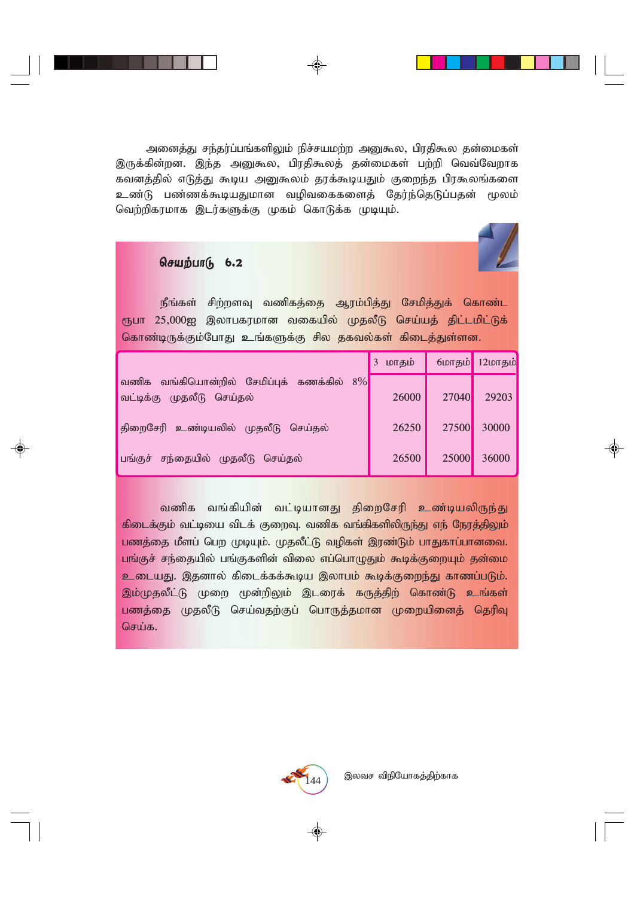அனைத்து சந்தர்ப்பங்களிலும் நிச்சயமற்ற அனுகூல, பிரதிகூல தன்மைகள் இருக்கின்றன. இந்த அனுகூல, பிரதிகூலத் தன்மைகள் பற்றி வெவ்வேறாக கவனத்தில் எடுத்து கூடிய அனுகூலம் தரக்கூடியதும் குறைந்த பிரகூலங்களை உண்டு பண்ணக்கூடியதுமான வழிவகைகளைத் தேர்ந்தெடுப்பதன் மூலம் வெற்றிகரமாக இடர்களுக்கு முகம் கொடுக்க முடியும்.

#### $6a$

நீங்கள் சிற்றளவு வணிகத்தை ஆரம்பித்து சேமித்துக் கொண்ட ரூபா 25,000ஐ இலாபகரமான வகையில் முதலீடு செய்யத் திட்டமிட்டுக் கொண்டிருக்கும்போது உங்களுக்கு சில தகவல்கள் கிடைத்துள்ளன.

|                                                                        | மாதம் |       | 6மாதம் 12மாதம் |
|------------------------------------------------------------------------|-------|-------|----------------|
| வணிக வங்கியொன்றில் சேமிப்புக் கணக்கில் 8%<br>வட்டிக்கு முதலீடு செய்தல் | 26000 | 27040 | 29203          |
| திறைசேரி உண்டியலில் முதலீடு செய்தல்                                    | 26250 | 27500 | 30000          |
| பங்குச் சந்தையில் முதலீடு செய்தல்                                      | 26500 | 25000 | 36000          |

்வணிக வங்கியின் வட்டியானது திறைசேரி உண்டியலிருந்து  $f$ கிடைக்கும் வட்டியை விடக் குறைவு. வணிக வங்கிகளிலிருந்து எந் நேரத்திலும் பணத்தை மீளப் பெற முடியும். முதலீட்டு வழிகள் இரண்டும் பாதுகாப்பானவை. பங்குச் சந்தையில் பங்குகளின் விலை எப்பொழுதும் கூடிக்குறையும் தன்மை <mark>உடையது. இதனால் கிடைக்கக்கூடிய இலாபம் கூடிக்குறைந்து காணப்படும்.</mark> இம்முதலீட்டு முறை மூன்றிலும் இடரைக் கருத்திற் கொண்டு உங்கள் <mark>பண</mark>த்தை முதலீடு செய்வதற்குப் பொருத்தமான முறையினைத் தெரிவு **செய்க.** 

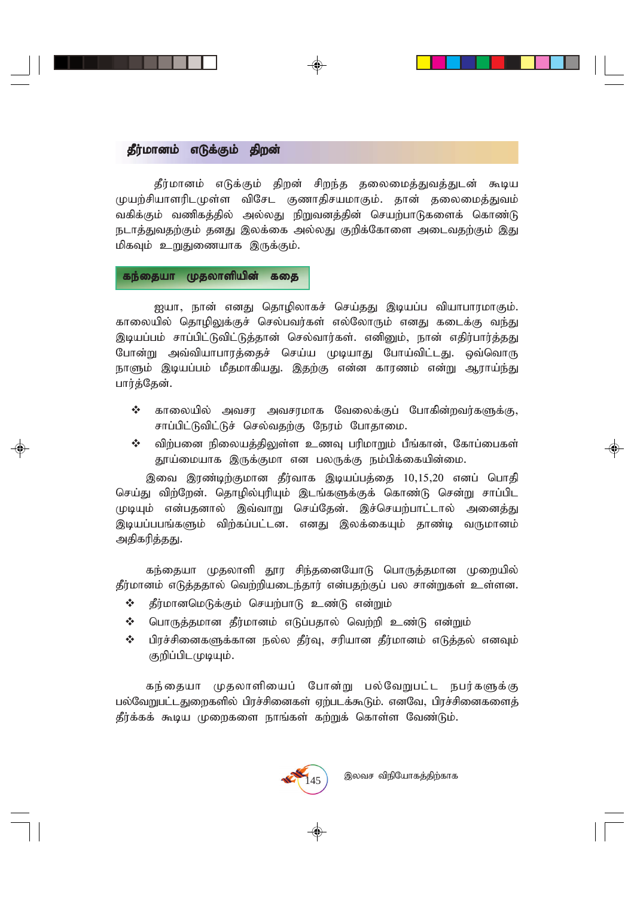# *தீ*ர்மானம் எடுக்கும் திறன்

தீர்மானம் எடுக்கும் திறன் சிறந்த தலைமைத்துவத்துடன் கூடிய முயற்சியாளரிடமுள்ள விசேட குணாதிசயமாகும். தான் தலைமைத்துவம் வகிக்கும் வணிகத்தில் அல்லது நிறுவனத்தின் செயற்பாடுகளைக் கொண்டு நடாத்துவதற்கும் தனது இலக்கை அல்லது குறிக்கோளை அடைவதற்கும் இது *மி*கவும் உறுதுணையாக இருக்கும்.

#### கந்தையா முதலாளியின் கதை

<u>ஐ</u>யா, நான் எனது தொழிலாகச் செய்தது இடியப்ப வியாபாரமாகும். காலையில் தொமிலுக்குச் செல்பவர்கள் எல்லோரும் எனது கடைக்கு வந்து இடியப்பம் சாப்பிட்டுவிட்டுத்தான் செல்வார்கள். எனினும், நான் எதிர்பார்த்தது போன்று அவ்வியாபாரத்தைச் செய்ய முடியாது போய்விட்டது. ஒவ்வொரு நாளும் இடியப்பம் மீதமாகியது. இதற்கு என்ன காரணம் என்று ஆராய்ந்து பார்த்தேன்.

- $\boldsymbol{\hat{y}}$  காலையில் அவசர அவசரமாக வேலைக்குப் போகின்றவர்களுக்கு, *rhg;gpl;Ltpl;Lr; nry;tjw;F Neuk; Nghjhik.*
- ❖ விற்பனை நிலையத்திலுள்ள உணவு பரிமாறும் பீங்கான், கோப்பைகள் தூய்மையாக இருக்குமா என பலருக்கு நம்பிக்கையின்மை.

இவை இரண்டிற்குமான தீர்வாக இடியப்பத்தை 10,15,20 எனப் பொதி செய்து விற்றேன். தொழில்புரியும் இடங்களுக்குக் கொண்டு சென்று சாப்பிட முடியும் என்பதனால் இவ்வாறு செய்தேன். இச்செயற்பாட்டால் அனைத்து இடியப்பபங்களும் விற்கப்பட்டன. எனது இலக்கையும் தாண்டி வருமானம் அதிகரித்தது.

கந்தையா முதலாளி தூர சிந்தனையோடு பொருத்தமான முறையில் தீர்மானம் எடுத்ததால் வெற்றியடைந்தார் என்பதற்குப் பல சான்றுகள் உள்ளன.

- $\div$  கீர்மானமெடுக்கும் செயற்பாடு உண்டு என்றும்
- $\boldsymbol{\dot{\cdot}}$  பொருத்தமான தீர்மானம் எடுப்பதால் வெற்றி உண்டு என்றும்
- $\boldsymbol{\hat{y}}$  பிரச்சினைகளுக்கான நல்ல தீர்வு, சரியான தீர்மானம் எடுத்தல் எனவும் குறிப்பிடமுடியும்.

கந்தையா முதலாளியைப் போன்று பல்வேறுபட்ட நபர்களுக்கு *gy;NtWgl;lJiwfspy; gpur;rpidfs; Vw;glf;\$Lk;. vdNt> gpur;rpidfisj;* தீர்க்கக் கூடிய முறைகளை நாங்கள் கற்றுக் கொள்ள வேண்டும்.

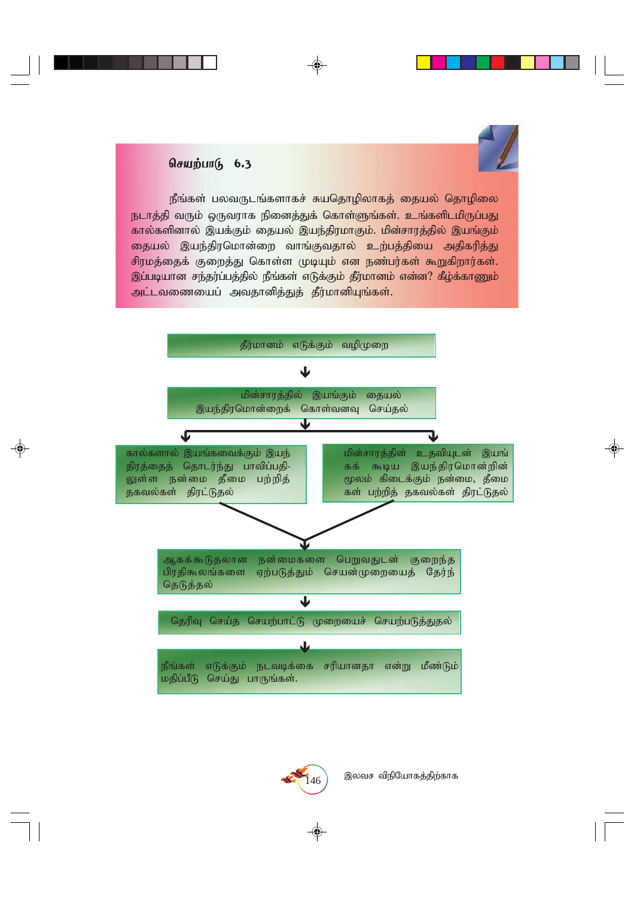# $\theta$ சியற்பா $(\theta, 6.3)$

நீங்கள் பலவருடங்களாகச் சுயதொழிலாகத் தையல் தொழிலை **நடாத்தி வரும் ஒருவராக நினைத்துக் கொள்ளுங்கள். உங்களிடமிருப்பது** கால்களினால் இயக்கும் தையல் இயந்திரமாகும். மின்சாரத்தில் இயங்கும் <mark>தையல் இயந்திரமொன்றை வாங்குவதால் உற்பத்தியை அதிகரித்து</mark> சிரமத்தைக் குறைத்து கொள்ள முடியும் என நண்பர்கள் கூறுகிறார்கள். இப்படியான சந்தர்ப்பத்தில் நீங்கள் எடுக்கும் தீர்மானம் என்ன? கீழ்க்காணும் அட்டவணையைப் அவதானித்துத் தீர்மானியுங்கள்.





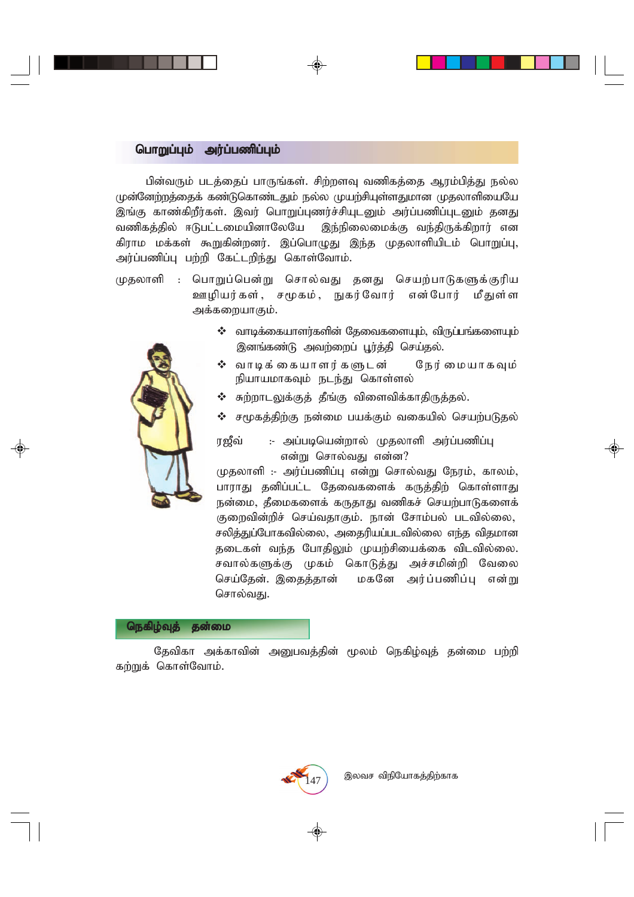#### *nghWg;Gk; mu;g;gzpg;Gk; nghWg;Gk; mu;g;gzpg;Gk;*

பின்வரும் படத்தைப் பாருங்கள். சிற்றளவு வணிகத்தை ஆரம்பித்து நல்ல முன்னேற்றத்தைக் கண்டுகொண்டதும் நல்ல முயற்சியுள்ளதுமான முதலாளியையே இங்கு காண்கிறீர்கள். இவர் பொறுப்புணர்ச்சியுடனும் அர்ப்பணிப்புடனும் தனது வணிகத்தில் ஈடுபட்டமையினாலேயே இந்நிலைமைக்கு வந்திருக்கிறார் என கிராம மக்கள் கூறுகின்றனர். இப்பொழுது இந்த முதலாளியிடம் பொறுப்பு, அர்ப்பணிப்பு பற்றி கேட்டறிந்து கொள்வோம்.

- முதலாளி : பொறுப்பென்று சொல்வது தனது செயற்பாடுகளுக்குரிய **ஊழியர்கள், சமூகம், நுகர்வோர் என்போர் மீதுள்ள** அக்கறையாகும்.
	- $\boldsymbol{\cdot}$ ைவாடிக்கையாளர்களின் தேவைகளையும், விருப்பங்களையும் இனங்கண்டு அவற்றைப் பூர்த்தி செய்தல்.
	- ❖ வாடிக்கையாளர்களுடன் நேர்மையாகவும் நியாயமாகவும் நடந்து கொள்ளல்
	- $\boldsymbol{\cdot}$  சுற்றாடலுக்குத் தீங்கு விளைவிக்காதிருத்தல்.
	- $\boldsymbol{\cdot}$  சமூகத்திற்கு நன்மை பயக்கும் வகையில் செயற்படுதல்

ரஜீவ் :- அப்படியென்றால் முதலாளி அர்ப்பணிப்பு என்று சொல்வது என்ன?

*Kjyhsp :- mu;g;gzpg;G vd;W nrhy;tJ Neuk;> fhyk;>* பாராது தனிப்பட்ட தேவைகளைக் கருத்திற் கொள்ளாது நன்மை, தீமைகளைக் கருதாது வணிகச் செயற்பாடுகளைக் குறைவின்றிச் செய்வதாகும். நான் சோம்பல் படவில்லை, சலித்துப்போகவில்லை, அதைரியப்படவில்லை எந்த விதமான தடைகள் வந்த போதிலும் முயற்சியைக்கை விடவில்லை. சவால்களுக்கு முகம் கொடுத்து அச்சமின்றி வேலை செய்தேன். இதைத்தான் மகனே அர்ப்பணிப்பு என்று சொல்வது.



தேவிகா அக்காவின் அனுபவத்தின் மூலம் நெகிழ்வுத் தன்மை பற்றி கற்றுக் கொள்வோம்.

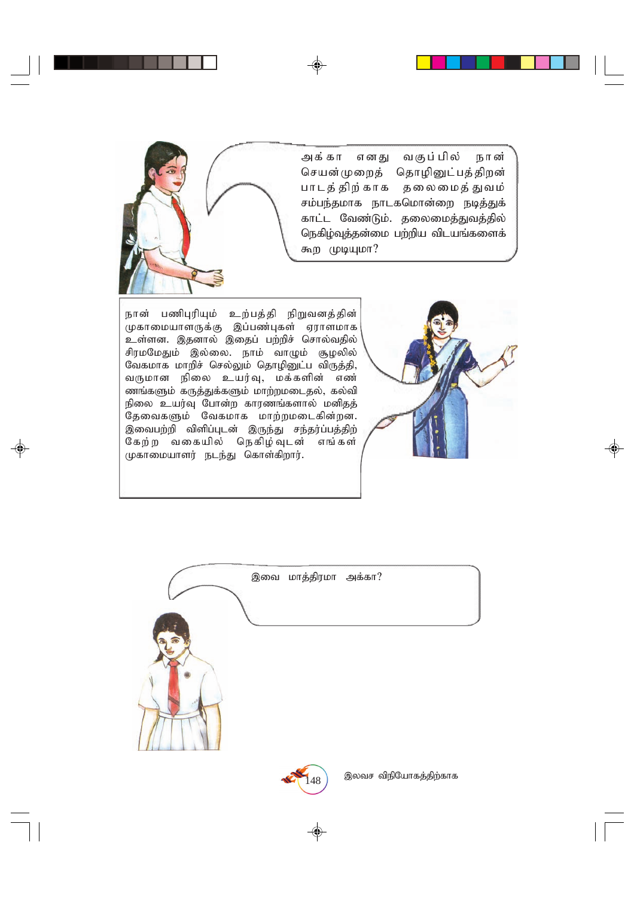அக்கா எனது வகுப்பில் நான் செயன்முறைத் தொழினுட்பத்திறன் பாடத் திற்காக தலைமைத் துவம் சம்பந்தமாக நாடகமொன்றை நடித்துக் காட்ட வேண்டும். தலைமைத்துவத்தில் நெகிழ்வுத்தன்மை பற்றிய விடயங்களைக் *கூற முடியுமா?* 



நான் பணிபுரியும் உற்பத்தி நிறுவனத்தின் முகாமையாளருக்கு இப்பண்புகள் ஏராளமாக உள்ளன. இதனால் இதைப் பற்றிச் சொல்வதில் சிரமமேதும் இல்லை. நாம் வாழும் சூழலில் வேகமாக மாறிச் செல்லும் தொழினுட்ப விருத்தி, வருமான நிலை உயர்வு, மக்களின் எண் ணங்களும் கருத்துக்களும் மாற்றமடைதல், கல்வி நிலை உயர்வு போன்ற காரணங்களால் மனிதத் தேவைகளும் வேகமாக மாற்றமடைகின்றன. இவைபற்றி விளிப்புடன் இருந்து சந்தர்ப்பத்திற் கேற்ற வகையில் நெகிழ்வுடன் எங்கள் முகாமையாளர் நடந்து கொள்கிறார்.





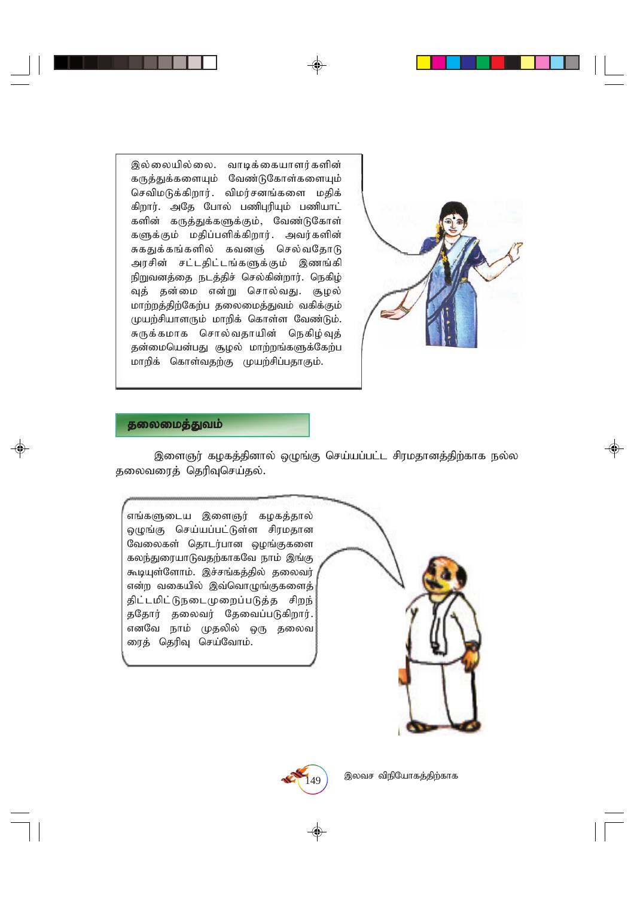இல்லையில்லை. வாடிக்கையாளர்களின் கருத்துக்களையும் வேண்டுகோள்களையும் செவிமடுக்கிறார். விமர்சனங்களை மதிக் கிறார். அதே போல் பணிபுரியும் பணியாட் களின் கருத்துக்களுக்கும், வேண்டுகோள் களுக்கும் மதிப்பளிக்கிறார். அவர்களின் சுகதுக்கங்களில் கவனஞ் செல்வதோடு அரசின் சட்டதிட்டங்களுக்கும் இணங்கி நிறுவனத்தை நடத்திச் செல்கின்றார். நெகிழ் வுத் தன்மை என்று சொல்வது. சூழல் *khw;wj;jpw;Nfw;g jiyikj;Jtk; tfpf;Fk;* முயற்சியாளரும் மாறிக் கொள்ள வேண்டும். சுருக்கமாக சொல்வதாயின் நெகிழ்வுத் தன்மையென்பது சூழல் மாற்றங்களுக்கேற்ப மாறிக் கொள்வதற்கு முயற்சிப்பதாகும்.



#### **தலைமைத்துவம்**

இளைஞர் கழகத்தினால் ஒழுங்கு செய்யப்பட்ட சிரமதானத்திற்காக நல்ல தலைவரைத் தெரிவுசெய்தல்.

எங்களுடைய இளைஞர் கழகத்தால் ஒழுங்கு செய்யப்பட்டுள்ள சிரமதான வேலைகள் தொடர்பான **ஒழங்குகளை** கலந்துரையாடுவதற்காகவே நாம் இங்கு கூடியுள்ளோம். இச்சங்கத்தில் தலைவர் என்ற வகையில் இவ்வொழுங்குகளைத் திட்டமிட்டுநடைமுறைப்படுத்த சிறந் ததோர் தலைவர் தேவைப்படுகிறார். எனவே நாம் முதலில் ஒரு தலைவ ரைத் தெரிவு செய்வோம்.



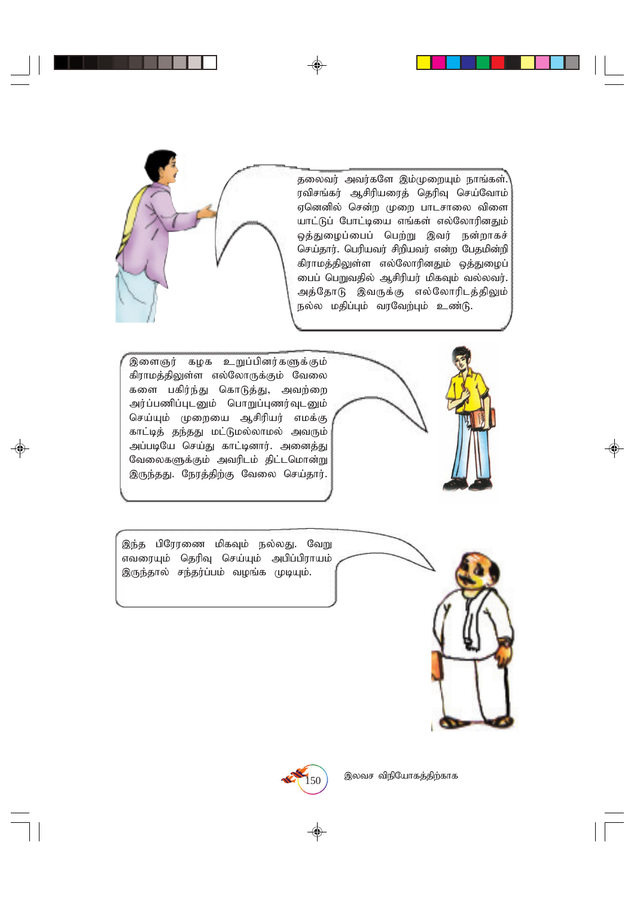தலைவர் அவர்களே இம்முறையும் நாங்கள். ரவிசங்கர் ஆசிரியரைத் தெரிவு செய்வோம் *Vnddpy; nrd;w Kiw ghlrhiy tpis ahl;Lg; Nghl;bia vq;fs; vy;NyhupdJk;* ஒத்துழைப்பைப் பெற்று இவர் நன்றாகச் செய்தார். பெரியவர் சிறியவர் என்ற பேதமின்றி கிராமத்திலுள்ள எல்லோரினதும் ஒத்துழைப் *igg; ngWtjpy; Mrpupau; kpfTk; ty;ytu;.* அத்தோடு இவருக்கு எல்லோரிடத்திலும் நல்ல மதிப்பும் வரவேற்பும் உண்டு.

இளைஞர் கழக உறுப்பினர்களுக்கும் கிராமத்திலுள்ள எல்லோருக்கும் வேலை களை பகிர்ந்து கொடுத்து, அவற்றை அர்ப்பணிப்புடனும் பொறுப்புணர்வுடனும் செய்யும் முறையை ஆசிரியர் எமக்கு காட்டித் தந்தது மட்டுமல்லாமல் அவரும் அப்படியே செய்து காட்டினார். அனைத்து வேலைகளுக்கும் அவரிடம் திட்டமொன்று இருந்தது. நேரத்திற்கு வேலை செய்தார்.



<u>இந்த</u> பிரேரணை மிகவும் நல்லது. வேறு *vtiuAk; njupT nra;Ak; mgpg;gpuhak;* இருந்தால் சந்தர்ப்பம் வழங்க முடியும்.





 $\ket{150}$  இலவச விநியோகத்திற்காக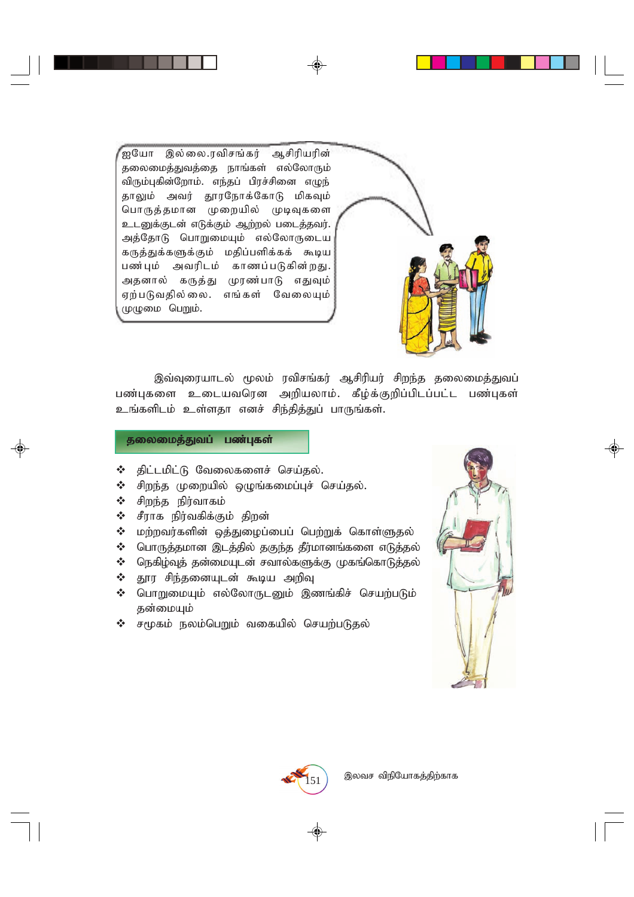,<br>ஐயோ இல்லை.ரவிசங்கர் ஆசிரியரின் தலைமைத்துவத்தை நாங்கள் எல்லோரும் விரும்புகின்றோம். எந்தப் பிரச்சினை எழுந் தாலும் அவர் தூரநோக்கோடு மிகவும் *nghUj;jkhd Kiwapy; KbTfis* உடனுக்குடன் எடுக்கும் ஆற்றல் படைத்தவர். அத்தோடு பொறுமையும் எல்லோருடைய கருத்துக்களுக்கும் மதிப்பளிக்கக் கூடிய பண்பும் அவரிடம் காணப்படுகின்றது. அதனால் கருத்து முரண்பாடு எதுவும் *Vw;gLtjpy;iy. vq;fs; NtiyAk;* முழுமை பெறும்.



இவ்வுரையாடல் மூலம் ரவிசங்கர் ஆசிரியர் சிறந்த தலைமைத்துவப் பண்புகளை உடையவரென அறியலாம். கீழ்க்குறிப்பிடப்பட்ட பண்புகள் உங்களிடம் உள்ளதா எனச் சிந்தித்துப் பாருங்கள்.

# தலைமைத்துவப் பண்புகள்

- $\Leftrightarrow$  திட்டமிட்டு வேலைகளைச் செய்தல்.
- $\div$  சிறந்த முறையில் ஒழுங்கமைப்புச் செய்தல்.
- $\mathbf{\hat{v}}$   $\rho$  *d*<sub>m</sub>  $\rho$ <sub>j</sub> *d*<sub>m</sub> *d*<sub>m</sub> *d*<sub>m</sub> *d*<sub>m</sub> *d*<sub>m</sub>
- $\Leftrightarrow$  சீராக நிர்வகிக்கும் திறன்
- $\clubsuit$  மற்றவர்களின் ஒத்துழைப்பைப் பெற்றுக் கொள்ளுதல்
- $\boldsymbol{\cdot}$  மொருத்தமான இடத்தில் தகுந்த தீர்மானங்களை எடுத்தல்
- $\boldsymbol{\cdot}$  ரெகிழ்வுத் தன்மையுடன் சவால்களுக்கு முகங்கொடுத்தல்
- $\Leftrightarrow$  தூர சிந்தனையுடன் கூடிய அறிவு
- $\div$  பொறுமையும் எல்லோருடனும் இணங்கிச் செயற்படும் தன்மையும்
- $\div$  சமூகம் நலம்பெறும் வகையில் செயற்படுதல்



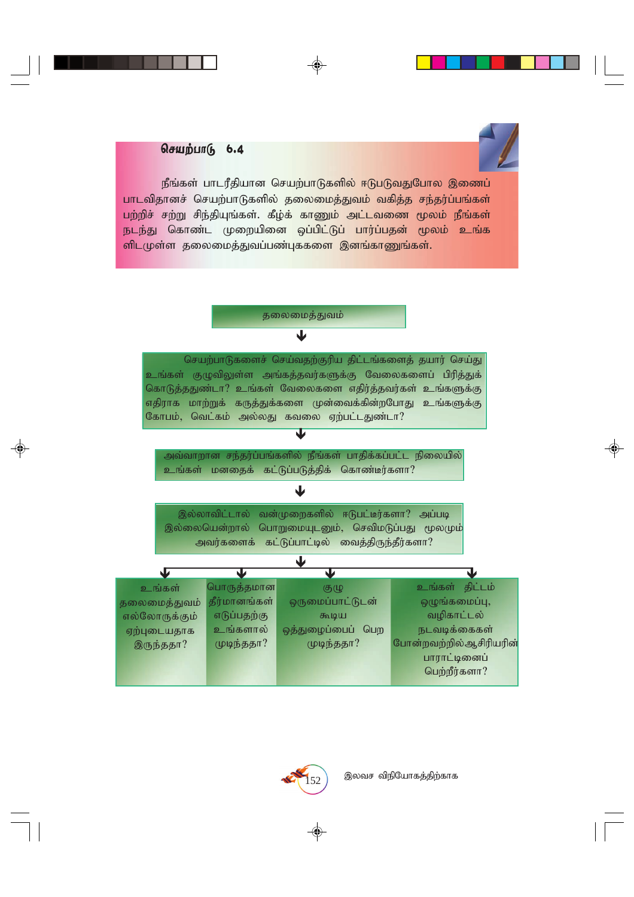# செயற்பாடு 6.4

நீங்கள் பாடரீதியான செயற்பாடுகளில் ஈடுபடுவதுபோல இணைப் பாடவிதானச் செயற்பாடுகளில் தலைமைத்துவம் வகித்த சந்தர்ப்பங்கள் பற்றிச் சற்று சிந்தியுங்கள். கீழ்க் காணும் அட்டவணை மூலம் நீங்கள் நடந்து கொண்ட முறையினை ஒப்பிட்டுப் பார்ப்பதன் மூலம் உங்க  $\overline{\mathsf{m}}$ டமுள்ள தலைமைத்துவப்பண்புக்களை இனங்காணுங்கள்.